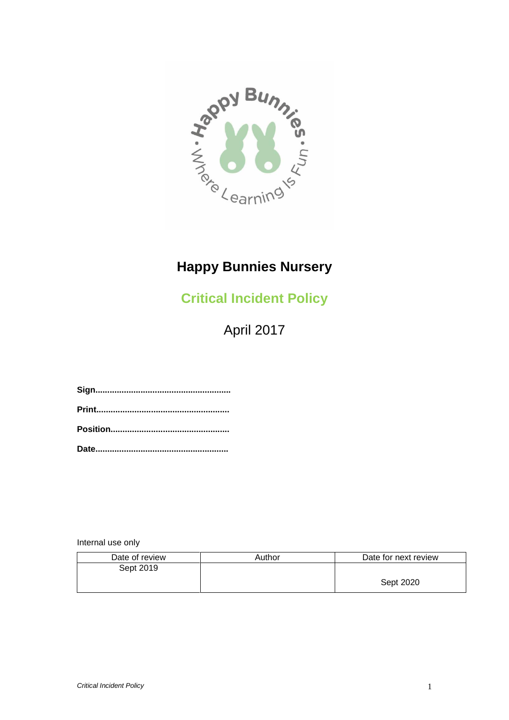

# **Happy Bunnies Nursery**

**Critical Incident Policy**

April 2017

Internal use only

| Date of review | Author | Date for next review |
|----------------|--------|----------------------|
| Sept 2019      |        |                      |
|                |        | Sept 2020            |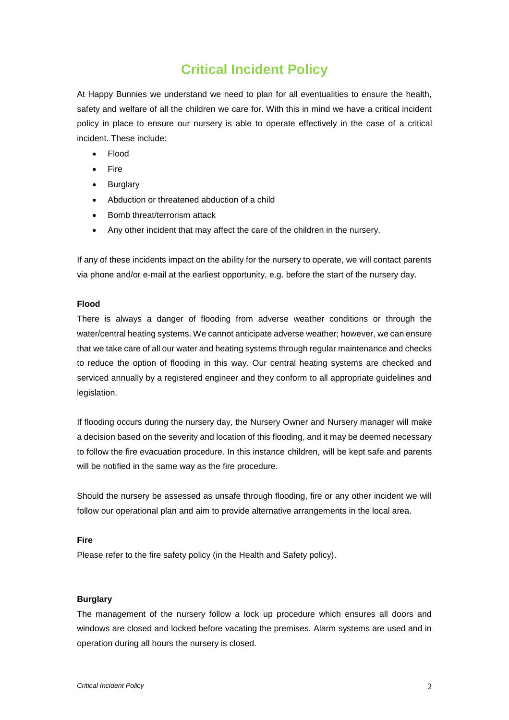# **Critical Incident Policy**

At Happy Bunnies we understand we need to plan for all eventualities to ensure the health, safety and welfare of all the children we care for. With this in mind we have a critical incident policy in place to ensure our nursery is able to operate effectively in the case of a critical incident. These include:

- Flood
- Fire
- Burglary
- Abduction or threatened abduction of a child
- Bomb threat/terrorism attack
- Any other incident that may affect the care of the children in the nursery.

If any of these incidents impact on the ability for the nursery to operate, we will contact parents via phone and/or e-mail at the earliest opportunity, e.g. before the start of the nursery day.

### **Flood**

There is always a danger of flooding from adverse weather conditions or through the water/central heating systems. We cannot anticipate adverse weather; however, we can ensure that we take care of all our water and heating systems through regular maintenance and checks to reduce the option of flooding in this way. Our central heating systems are checked and serviced annually by a registered engineer and they conform to all appropriate guidelines and legislation.

If flooding occurs during the nursery day, the Nursery Owner and Nursery manager will make a decision based on the severity and location of this flooding, and it may be deemed necessary to follow the fire evacuation procedure. In this instance children, will be kept safe and parents will be notified in the same way as the fire procedure.

Should the nursery be assessed as unsafe through flooding, fire or any other incident we will follow our operational plan and aim to provide alternative arrangements in the local area.

#### **Fire**

Please refer to the fire safety policy (in the Health and Safety policy).

#### **Burglary**

The management of the nursery follow a lock up procedure which ensures all doors and windows are closed and locked before vacating the premises. Alarm systems are used and in operation during all hours the nursery is closed.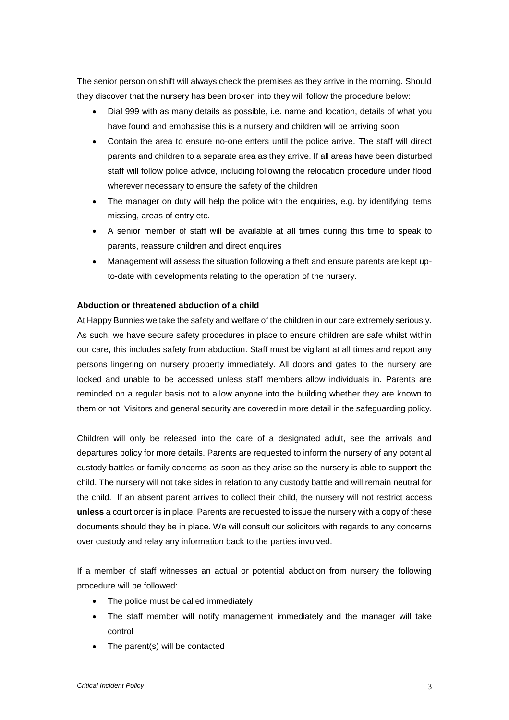The senior person on shift will always check the premises as they arrive in the morning. Should they discover that the nursery has been broken into they will follow the procedure below:

- Dial 999 with as many details as possible, i.e. name and location, details of what you have found and emphasise this is a nursery and children will be arriving soon
- Contain the area to ensure no-one enters until the police arrive. The staff will direct parents and children to a separate area as they arrive. If all areas have been disturbed staff will follow police advice, including following the relocation procedure under flood wherever necessary to ensure the safety of the children
- The manager on duty will help the police with the enquiries, e.g. by identifying items missing, areas of entry etc.
- A senior member of staff will be available at all times during this time to speak to parents, reassure children and direct enquires
- Management will assess the situation following a theft and ensure parents are kept upto-date with developments relating to the operation of the nursery.

## **Abduction or threatened abduction of a child**

At Happy Bunnies we take the safety and welfare of the children in our care extremely seriously. As such, we have secure safety procedures in place to ensure children are safe whilst within our care, this includes safety from abduction. Staff must be vigilant at all times and report any persons lingering on nursery property immediately. All doors and gates to the nursery are locked and unable to be accessed unless staff members allow individuals in. Parents are reminded on a regular basis not to allow anyone into the building whether they are known to them or not. Visitors and general security are covered in more detail in the safeguarding policy.

Children will only be released into the care of a designated adult, see the arrivals and departures policy for more details. Parents are requested to inform the nursery of any potential custody battles or family concerns as soon as they arise so the nursery is able to support the child. The nursery will not take sides in relation to any custody battle and will remain neutral for the child. If an absent parent arrives to collect their child, the nursery will not restrict access **unless** a court order is in place. Parents are requested to issue the nursery with a copy of these documents should they be in place. We will consult our solicitors with regards to any concerns over custody and relay any information back to the parties involved.

If a member of staff witnesses an actual or potential abduction from nursery the following procedure will be followed:

- The police must be called immediately
- The staff member will notify management immediately and the manager will take control
- The parent(s) will be contacted